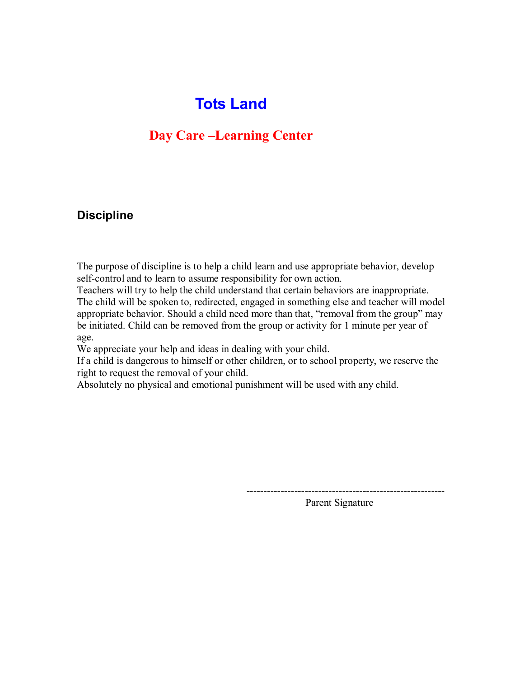# **Tots Land**

## **Day Care –Learning Center**

### **Discipline**

The purpose of discipline is to help a child learn and use appropriate behavior, develop self-control and to learn to assume responsibility for own action.

Teachers will try to help the child understand that certain behaviors are inappropriate. The child will be spoken to, redirected, engaged in something else and teacher will model appropriate behavior. Should a child need more than that, "removal from the group" may be initiated. Child can be removed from the group or activity for 1 minute per year of age.

We appreciate your help and ideas in dealing with your child.

If a child is dangerous to himself or other children, or to school property, we reserve the right to request the removal of your child.

Absolutely no physical and emotional punishment will be used with any child.

Parent Signature

----------------------------------------------------------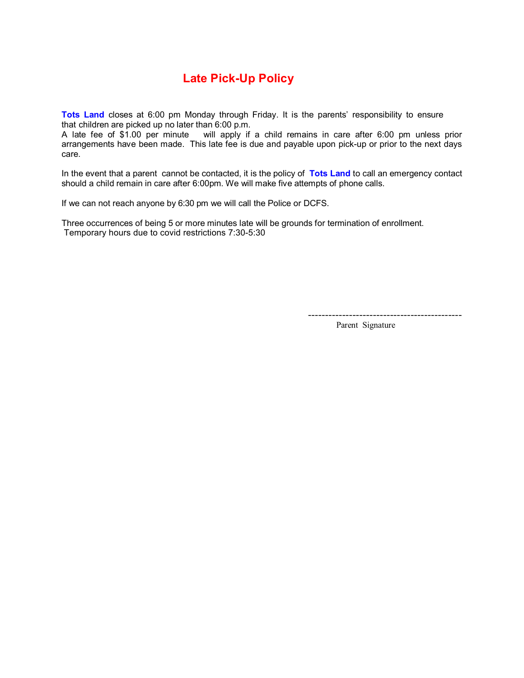## **Late Pick-Up Policy**

**Tots Land** closes at 6:00 pm Monday through Friday. It is the parents' responsibility to ensure that children are picked up no later than 6:00 p.m.

A late fee of \$1.00 per minute will apply if a child remains in care after 6:00 pm unless prior arrangements have been made. This late fee is due and payable upon pick-up or prior to the next days care.

In the event that a parent cannot be contacted, it is the policy of **Tots Land** to call an emergency contact should a child remain in care after 6:00pm. We will make five attempts of phone calls.

If we can not reach anyone by 6:30 pm we will call the Police or DCFS.

Three occurrences of being 5 or more minutes late will be grounds for termination of enrollment. Temporary hours due to covid restrictions 7:30-5:30

--------------------------------------------- Parent Signature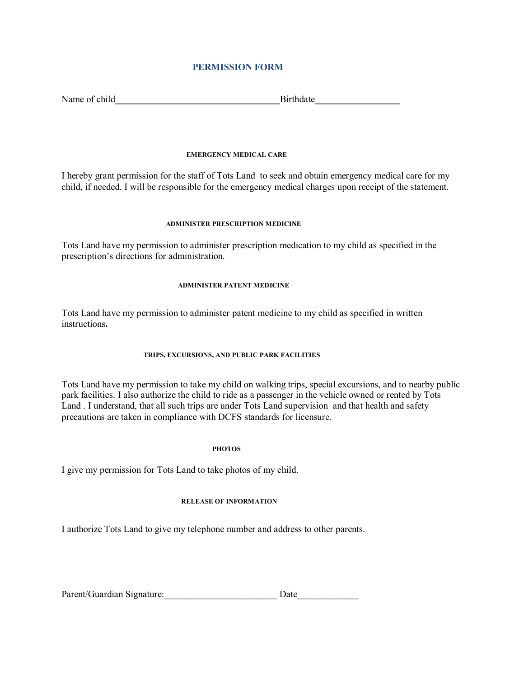#### **PERMISSION FORM**

| Name of child | <b>Birthdate</b> |
|---------------|------------------|
|               |                  |

#### **EMERGENCY MEDICAL CARE**

I hereby grant permission for the staff of Tots Land to seek and obtain emergency medical care for my child, if needed. I will be responsible for the emergency medical charges upon receipt of the statement.

#### **ADMINISTER PRESCRIPTION MEDICINE**

Tots Land have my permission to administer prescription medication to my child as specified in the prescription's directions for administration.

#### **ADMINISTER PATENT MEDICINE**

Tots Land have my permission to administer patent medicine to my child as specified in written instructions**.** 

#### **TRIPS, EXCURSIONS, AND PUBLIC PARK FACILITIES**

Tots Land have my permission to take my child on walking trips, special excursions, and to nearby public park facilities. I also authorize the child to ride as a passenger in the vehicle owned or rented by Tots Land . I understand, that all such trips are under Tots Land supervision and that health and safety precautions are taken in compliance with DCFS standards for licensure.

#### **PHOTOS**

I give my permission for Tots Land to take photos of my child.

#### **RELEASE OF INFORMATION**

I authorize Tots Land to give my telephone number and address to other parents.

| Parent/Guardian Signature: | Date |
|----------------------------|------|
|                            |      |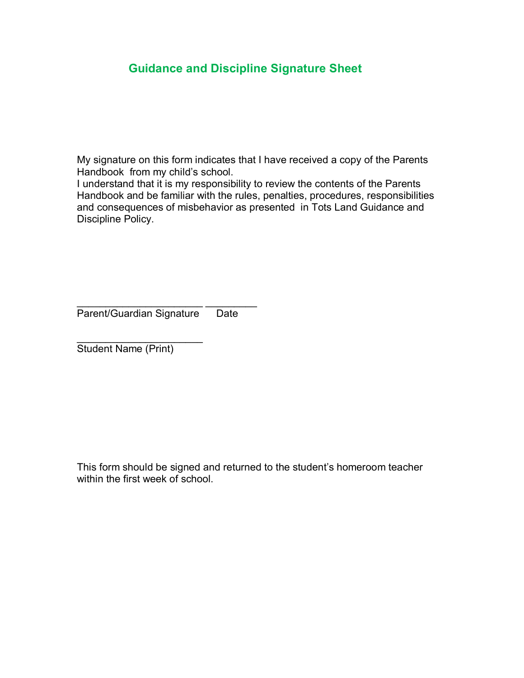### **Guidance and Discipline Signature Sheet**

My signature on this form indicates that I have received a copy of the Parents Handbook from my child's school.

I understand that it is my responsibility to review the contents of the Parents Handbook and be familiar with the rules, penalties, procedures, responsibilities and consequences of misbehavior as presented in Tots Land Guidance and Discipline Policy.

\_\_\_\_\_\_\_\_\_\_\_\_\_\_\_\_\_\_\_\_\_\_ \_\_\_\_\_\_\_\_\_ Parent/Guardian Signature Date

 $\overline{\phantom{a}}$  , where  $\overline{\phantom{a}}$ Student Name (Print)

This form should be signed and returned to the student's homeroom teacher within the first week of school.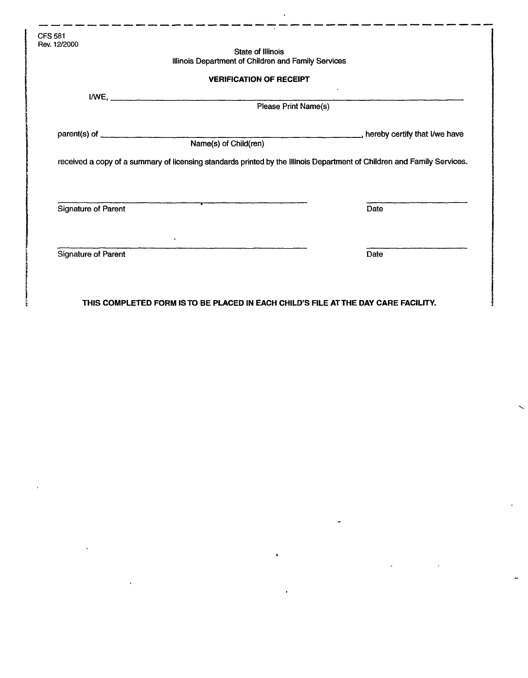|                            | <b>State of Illinois</b>                                                                                                |              |
|----------------------------|-------------------------------------------------------------------------------------------------------------------------|--------------|
|                            | Illinois Department of Children and Family Services                                                                     |              |
|                            | <b>VERIFICATION OF RECEIPT</b>                                                                                          |              |
|                            | I/WE, Please Print Name(s)                                                                                              | $\mathbf{v}$ |
|                            |                                                                                                                         |              |
|                            |                                                                                                                         |              |
|                            | Name(s) of Child(ren)                                                                                                   |              |
|                            | received a copy of a summary of licensing standards printed by the Illinois Department of Children and Family Services. |              |
|                            |                                                                                                                         |              |
|                            |                                                                                                                         |              |
| <b>Signature of Parent</b> | $\overline{\phantom{a}}$                                                                                                | Date         |
|                            | $\bullet$                                                                                                               |              |

**THIS COMPLETED FORM IS TO BE PLACED IN EACH CHILD'S FILE AT THE DAY CARE FACILITY.**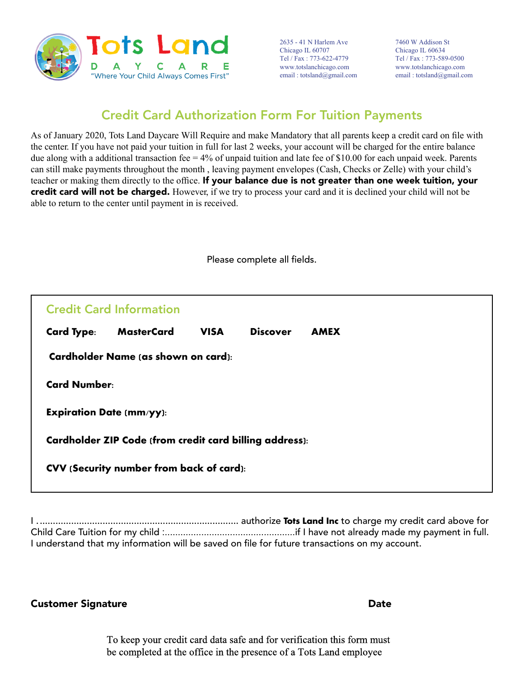

2635 - 41 N Harlem Ave Chicago IL 60707 Tel / Fax : 773-622-4779 www.totslanchicago.com email : totsland@gmail.com

7460 W Addison St Chicago IL 60634 Tel / Fax : 773-589-0500 www.totslanchicago.com email : totsland@gmail.com

## Credit Card Authorization Form For Tuition Payments

As of January 2020, Tots Land Daycare Will Require and make Mandatory that all parents keep a credit card on file with the center. If you have not paid your tuition in full for last 2 weeks, your account will be charged for the entire balance due along with a additional transaction fee  $= 4\%$  of unpaid tuition and late fee of \$10.00 for each unpaid week. Parents can still make payments throughout the month , leaving payment envelopes (Cash, Checks or Zelle) with your child's teacher or making them directly to the office. If your balance due is not greater than one week tuition, your credit card will not be charged. However, if we try to process your card and it is declined your child will not be able to return to the center until payment in is received.

Please complete all fields.

| <b>Credit Card Information</b>                                 |                   |             |                 |             |  |  |
|----------------------------------------------------------------|-------------------|-------------|-----------------|-------------|--|--|
| <b>Card Type:</b>                                              | <b>MasterCard</b> | <b>VISA</b> | <b>Discover</b> | <b>AMEX</b> |  |  |
| <b>Cardholder Name (as shown on card):</b>                     |                   |             |                 |             |  |  |
| <b>Card Number:</b>                                            |                   |             |                 |             |  |  |
| <b>Expiration Date (mm/yy):</b>                                |                   |             |                 |             |  |  |
| <b>Cardholder ZIP Code (from credit card billing address):</b> |                   |             |                 |             |  |  |
| CVV (Security number from back of card):                       |                   |             |                 |             |  |  |
|                                                                |                   |             |                 |             |  |  |

I . ............................................................................ authorize **Tots Land Inc** to charge my credit card above for Child Care Tuition for my child :..................................................if I have not already made my payment in full. I understand that my information will be saved on file for future transactions on my account.

Customer Signature **Date** 

To keep your credit card data safe and for verification this form must be completed at the office in the presence of a Tots Land employee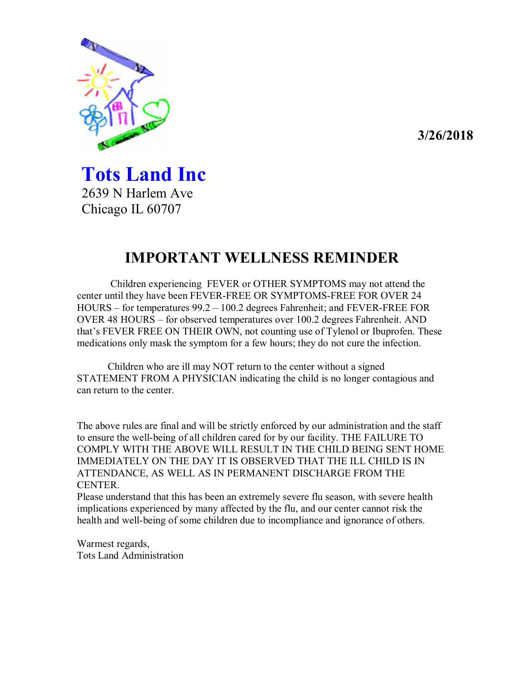

**Tots Land Inc**  2639 N Harlem Ave Chicago IL 60707

# **IMPORTANT WELLNESS REMINDER**

 Children experiencing FEVER or OTHER SYMPTOMS may not attend the center until they have been FEVER-FREE OR SYMPTOMS-FREE FOR OVER 24 HOURS – for temperatures 99.2 – 100.2 degrees Fahrenheit; and FEVER-FREE FOR OVER 48 HOURS – for observed temperatures over 100.2 degrees Fahrenheit. AND that's FEVER FREE ON THEIR OWN, not counting use of Tylenol or Ibuprofen. These medications only mask the symptom for a few hours; they do not cure the infection.

Children who are ill may NOT return to the center without a signed STATEMENT FROM A PHYSICIAN indicating the child is no longer contagious and can return to the center.

The above rules are final and will be strictly enforced by our administration and the staff to ensure the well-being of all children cared for by our facility. THE FAILURE TO COMPLY WITH THE ABOVE WILL RESULT IN THE CHILD BEING SENT HOME IMMEDIATELY ON THE DAY IT IS OBSERVED THAT THE ILL CHILD IS IN ATTENDANCE, AS WELL AS IN PERMANENT DISCHARGE FROM THE CENTER.

Please understand that this has been an extremely severe flu season, with severe health implications experienced by many affected by the flu, and our center cannot risk the health and well-being of some children due to incompliance and ignorance of others.

Warmest regards, Tots Land Administration